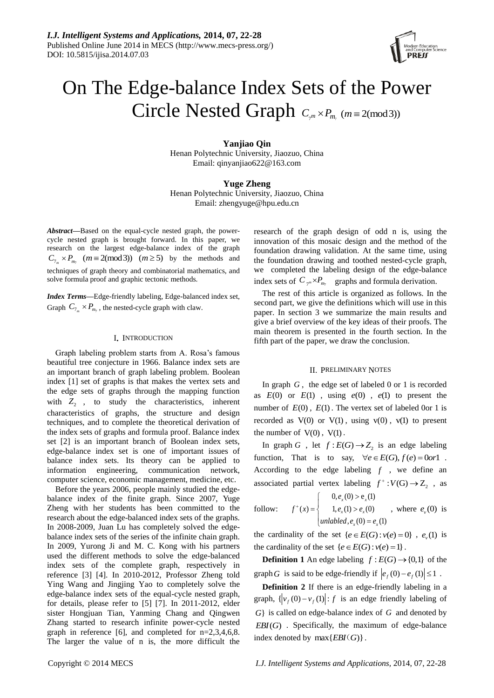

# On The Edge-balance Index Sets of the Power Circle Nested Graph  $C_{m} \times P_{m}$  ( $m \equiv 2 \pmod{3}$ )

**Yanjiao Qin** Henan Polytechnic University, Jiaozuo, China Email: qinyanjiao622@163.com

**Yuge Zheng** Henan Polytechnic University, Jiaozuo, China Email: zhengyuge@hpu.edu.cn

*Abstract***—**Based on the equal-cycle nested graph, the powercycle nested graph is brought forward. In this paper, we research on the largest edge-balance index of the graph  $C_{7_m}$  ×  $P_{m_7}$  ( $m \equiv 2 \pmod{3}$ )  $(m \ge 5)$  by the methods and techniques of graph theory and combinatorial mathematics, and solve formula proof and graphic tectonic methods.

*Index Terms***—**Edge-friendly labeling, Edge-balanced index set, Graph  $C_{7_m} \times P_{m_7}$ , the nested-cycle graph with claw.

#### I**.** INTRODUCTION

Graph labeling problem starts from A. Rosa's famous beautiful tree conjecture in 1966. Balance index sets are an important branch of graph labeling problem. Boolean index [1] set of graphs is that makes the vertex sets and the edge sets of graphs through the mapping function with  $Z_2$ , to study the characteristics, inherent characteristics of graphs, the structure and design techniques, and to complete the theoretical derivation of the index sets of graphs and formula proof. Balance index set [2] is an important branch of Boolean index sets, edge-balance index set is one of important issues of balance index sets. Its theory can be applied to information engineering, communication network, computer science, economic management, medicine, etc.

Before the years 2006, people mainly studied the edgebalance index of the finite graph. Since 2007, Yuge Zheng with her students has been committed to the research about the edge-balanced index sets of the graphs. In 2008-2009, Juan Lu has completely solved the edgebalance index sets of the series of the infinite chain graph. In 2009, Yurong Ji and M. C. Kong with his partners used the different methods to solve the edge-balanced index sets of the complete graph, respectively in reference [3] [4]. In 2010-2012, Professor Zheng told Ying Wang and Jingjing Yao to completely solve the edge-balance index sets of the equal-cycle nested graph, for details, please refer to [5] [7]. In 2011-2012, elder sister Hongjuan Tian, Yanming Chang and Qingwen Zhang started to research infinite power-cycle nested graph in reference [6], and completed for  $n=2,3,4,6,8$ . The larger the value of n is, the more difficult the research of the graph design of odd n is, using the innovation of this mosaic design and the method of the foundation drawing validation. At the same time, using the foundation drawing and toothed nested-cycle graph, we completed the labeling design of the edge-balance index sets of  $C_{\tau^m} \times P_{m_7}$  graphs and formula derivation.

The rest of this article is organized as follows. In the second part, we give the definitions which will use in this paper. In section 3 we summarize the main results and give a brief overview of the key ideas of their proofs. The main theorem is presented in the fourth section. In the fifth part of the paper, we draw the conclusion.

### II. PRELIMINARY NOTES

In graph *G* , the edge set of labeled 0 or 1 is recorded as  $E(0)$  or  $E(1)$ , using  $e(0)$ ,  $e(1)$  to present the number of  $E(0)$ ,  $E(1)$ . The vertex set of labeled 0or 1 is recorded as  $V(0)$  or  $V(1)$ , using  $v(0)$ ,  $v(1)$  to present the number of  $V(0)$ ,  $V(1)$ .

In graph G, let  $f: E(G) \rightarrow Z_2$  is an edge labeling function, That is to say,  $\forall e \in E(G)$ ,  $f(e) = 0 \text{ or } 1$ . According to the edge labeling *f* , we define an associated partial vertex labeling  $f^+$ :  $V(G) \rightarrow Z_2$ , as  $\left( 0, e_x(0) > e_x(1) \right)$ 

follow: 
$$
f^+(x) = \begin{cases} 0, e_x(0) - e_x(1) \\ 1, e_x(1) > e_x(0) \\ unlabel{eq:1} e_x(0) = e_x(1) \end{cases}
$$
, where  $e_y(0)$  is

the cardinality of the set  $\{e \in E(G) : v(e) = 0\}$ ,  $e_y(1)$  is the cardinality of the set  $\{e \in E(G) : v(e) = 1\}$ .

**Definition 1** An edge labeling  $f : E(G) \rightarrow \{0,1\}$  of the graph G is said to be edge-friendly if  $|e_f(0) - e_f(1)| \le 1$ .

**Definition 2** If there is an edge-friendly labeling in a graph,  $\{ |v_f(0) - v_f(1)| : f \text{ is an edge friendly labeling of } \}$ *G*} is called on edge-balance index of *G* and denoted by  $EBI(G)$ . Specifically, the maximum of edge-balance index denoted by  $max\{EBI(G)\}$ .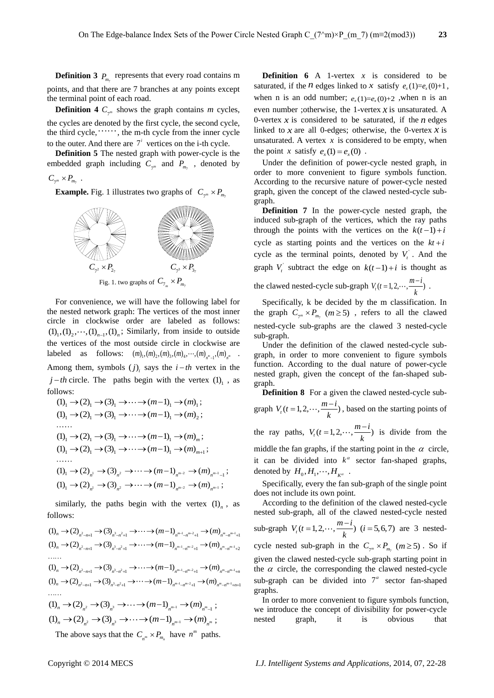**Definition 3**  $P_{m_7}$  represents that every road contains m points, and that there are 7 branches at any points except the terminal point of each road.

**Definition 4**  $C_{\tau^m}$  shows the graph contains *m* cycles, the cycles are denoted by the first cycle, the second cycle, the third cycle,  $\dots$ , the m-th cycle from the inner cycle to the outer. And there are  $7<sup>i</sup>$  vertices on the i-th cycle.

**Definition 5** The nested graph with power-cycle is the embedded graph including  $C_{\tau^m}$  and  $P_{m_{\tau}}$ , denoted by

 $C_{\gamma^m} \times P_{m_7}$ .

**Example.** Fig. 1 illustrates two graphs of  $C_{\tau^m} \times P_{m_\tau}$ 



For convenience, we will have the following label for the nested network graph: The vertices of the most inner circle in clockwise order are labeled as follows:  $(1)_1$ ,  $(1)_2$ ,  $\cdots$ ,  $(1)_{n-1}$ ,  $(1)_n$ ; Similarly, from inside to outside the vertices of the most outside circle in clockwise are labeled as follows:  $(m)_{1}$ ,  $(m)_{2}$ ,  $(m)_{3}$ ,  $(m)_{4}$ ,  $\cdots$ ,  $(m)_{n^{m-1}}$ ,  $(m)_{n^{m}}$ . Among them, symbols  $(j)$ <sub>i</sub> says the  $i-th$  vertex in the  $j-th$  circle. The paths begin with the vertex  $(1)_1$ , as follows:

\n allows:\n 
$$
(1)_1 \rightarrow (2)_1 \rightarrow (3)_1 \rightarrow \cdots \rightarrow (m-1)_1 \rightarrow (m)_1;
$$
\n

\n\n $(1)_1 \rightarrow (2)_1 \rightarrow (3)_1 \rightarrow \cdots \rightarrow (m-1)_1 \rightarrow (m)_2;$ \n

\n\n $\cdots$ \n

\n\n $(1)_1 \rightarrow (2)_1 \rightarrow (3)_1 \rightarrow \cdots \rightarrow (m-1)_1 \rightarrow (m)_m;$ \n

\n\n $(1)_1 \rightarrow (2)_1 \rightarrow (3)_1 \rightarrow \cdots \rightarrow (m-1)_1 \rightarrow (m)_{m+1};$ \n

\n\n $\cdots$ \n

\n\n $(1)_1 \rightarrow (2)_{n!} \rightarrow (3)_{n^2} \rightarrow \cdots \rightarrow (m-1)_{n^{m-2}} \rightarrow (m)_{n^{m-1}-1};$ \n

\n\n $(1)_1 \rightarrow (2)_{n^1} \rightarrow (3)_{n^2} \rightarrow \cdots \rightarrow (m-1)_{n^{m-2}} \rightarrow (m)_{n^{m-1}};$ \n

similarly, the paths begin with the vertex  $(1)_n$ , as follows:

follows:<br>  $(1)_n \to (2)_{n^2-n+1} \to (3)_{n^3-n^2+1} \to \cdots \to (m-1)_{n^{m-1}-n^{m-2}+1} \to (m)_{n^m-n^{m-1}+1}$  $(1)_n \to (2)_{n^2-n+1} \to (3)_{n^3-n^2+1} \to \cdots \to (m-1)_{n^{m-1}-n^{m-2}+1} \to (m)_{n^m-n^{m-1}+1}$ <br>  $(1)_n \to (2)_{n^2-n+1} \to (3)_{n^3-n^2+1} \to \cdots \to (m-1)_{n^{m-1}-n^{m-2}+1} \to (m)_{n^m-n^{m-1}+2}$  $(1)_{n} \rightarrow (2)_{n^{2}-n+1} \rightarrow (3)_{n^{3}-n^{2}+1} \rightarrow \cdots \rightarrow (m-1)_{n^{m-1}-n^{m-2}+1} \rightarrow (m)_{n^{m}-n^{m-1}+n}$  $(1)_n \to (2)_{n^2-n+1} \to (3)_{n^3-n^2+1} \to \cdots \to (m-1)_{n^{m-1}-n^{m-2}+1} \to (m)_{n^m-n^{m-1}+n}$ <br>  $(1)_n \to (2)_{n^2-n+1} \to (3)_{n^3-n^2+1} \to \cdots \to (m-1)_{n^{m-1}-n^{m-2}+1} \to (m)_{n^m-n^{m-1}+n+1}$  $(1)_n$  →  $(2)_{n^2}$  →  $(3)_{n^3}$  →  $\cdots$  →  $(m-1)_{n^{m-1}}$  →  $(m)_{n^{m-1}}$  ;  $(1)_n \to (2)_{n^2} \to (3)_{n^3} \to \cdots \to (m-1)_{n^{m-1}} \to (m)_{n^m-1}$ ;<br> $(1)_n \to (2)_{n^2} \to (3)_{n^3} \to \cdots \to (m-1)_{n^{m-1}} \to (m)_{n^m}$ ;

The above says that the  $C_{n^m} \times P_{m_n}$  have  $n^m$  paths.

**Definition 6** A 1-vertex  $x$  is considered to be saturated, if the *n* edges linked to *x* satisfy  $e_x(1)=e_x(0)+1$ , *e*  $e_x(1) = e_x(0) + 1$ ,<br>when n is an<br>*e x* (1)=  $e_x(0) + 1$ ,<br>when n is an when n is an odd number;  $e_x(1)=e_x(0)+2$ , when n is an *m\_7*) (*m*=2(*mod3*)) 23<br> *x x* is considered to be<br>
ed to *x* satisfy  $e_x(1)=e_x(0)+1$ ,<br>  $e_x(1)=e_x(0)+2$ , when *n* is an<br>
1-vertex *x* is unsaturated. A<br>
be saturated, if the *n* edges<br>
otherwise the 0-vertex *x* is even number ;otherwise, the 1-vertex *x* is unsaturated. A 0-vertex  $x$  is considered to be saturated, if the  $n$  edges linked to  $x$  are all 0-edges; otherwise, the 0-vertex  $x$  is unsaturated. A vertex  $x$  is considered to be empty, when the point *x* satisfy  $e_x(1) = e_x(0)$ .

Under the definition of power-cycle nested graph, in order to more convenient to figure symbols function. According to the recursive nature of power-cycle nested graph, given the concept of the clawed nested-cycle subgraph.

**Definition 7** In the power-cycle nested graph, the induced sub-graph of the vertices, which the ray paths through the points with the vertices on the  $k(t-1) + i$ cycle as starting points and the vertices on the  $kt + i$ cycle as the terminal points, denoted by  $V_t$ <sup>'</sup>. And the graph  $V_i$  subtract the edge on  $k(t-1) + i$  is thought as the clawed nested-cycle sub-graph  $V_t(t = 1, 2, \dots, \frac{m - i}{k})$  $= 1, 2, \cdots, \frac{m-i}{n}$ .

Specifically, k be decided by the m classification. In the graph  $C_{\tau^m} \times P_{m_\tau}$  ( $m \ge 5$ ), refers to all the clawed nested-cycle sub-graphs are the clawed 3 nested-cycle sub-graph.

Under the definition of the clawed nested-cycle subgraph, in order to more convenient to figure symbols function. According to the dual nature of power-cycle nested graph, given the concept of the fan-shaped subgraph.

**Definition 8** For a given the clawed nested-cycle sub-

graph  $V_t(t = 1, 2, \dots, \frac{m - i}{k})$  $=1, 2, \dots, \frac{m-i}{n}$ , based on the starting points of the ray paths,  $V_t(t=1,2,\dots,\frac{m-i}{k})$  $=1,2,\dots,\frac{m-i}{l}$  is divide from the middle the fan graphs, if the starting point in the  $\alpha$  circle, it can be divided into  $k^{\alpha}$  sector fan-shaped graphs, denoted by  $H_0, H_1, \cdots, H_{K^{\alpha}}$ .

Specifically, every the fan sub-graph of the single point does not include its own point.

According to the definition of the clawed nested-cycle nested sub-graph, all of the clawed nested-cycle nested sub-graph  $V_t(t = 1, 2, \dots, \frac{m - i}{k})$  $( i = 1, 2, \dots, \frac{m-i}{i})$  (*i* = 5,6,7) are 3 nestedcycle nested sub-graph in the  $C_{\tau^m} \times P_{m_{\tau}}$  ( $m \ge 5$ ). So if given the clawed nested-cycle sub-graph starting point in the  $\alpha$  circle, the corresponding the clawed nested-cycle sub-graph can be divided into  $7^\alpha$  sector fan-shaped graphs.

In order to more convenient to figure symbols function, we introduce the concept of divisibility for power-cycle nested graph, it is obvious that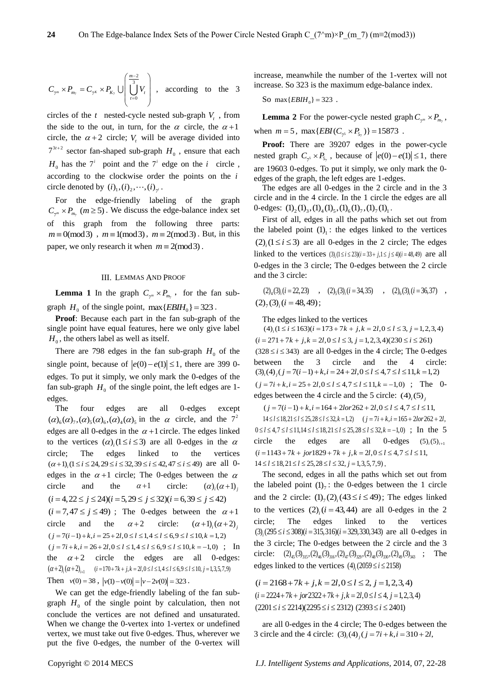$$
C_{\gamma^m} \times P_{m_{\gamma}} = C_{\gamma^k} \times P_{K_{\gamma}} \cup \left( \bigcup_{t=0}^{\frac{m-2}{3}} V_t \right) , \text{ according to the 3}
$$

circles of the  $t$  nested-cycle nested sub-graph  $V_t$ , from the side to the out, in turn, for the  $\alpha$  circle, the  $\alpha + 1$ circle, the  $\alpha + 2$  circle;  $V_t$  will be average divided into  $7^{3t+2}$  sector fan-shaped sub-graph  $H_0$ , ensure that each  $H_0$  has the  $7^i$  point and the  $7^i$  edge on the *i* circle, according to the clockwise order the points on the *i* circle denoted by  $(i)_{1}$ ,  $(i)_{2}$ ,  $\dots$ ,  $(i)_{7}$ .

For the edge-friendly labeling of the graph  $C_{\tau^m} \times P_{m_{\tau}}$  ( $m \ge 5$ ). We discuss the edge-balance index set of this graph from the following three parts:  $m \equiv 0 \pmod{3}$ ,  $m \equiv 1 \pmod{3}$ ,  $m \equiv 2 \pmod{3}$ . But, in this paper, we only research it when  $m \equiv 2 \pmod{3}$ .

## III. LEMMAS AND PROOF

**Lemma 1** In the graph  $C_{\tau^m} \times P_{m_\tau}$ , for the fan subgraph  $H_0$  of the single point,  $\max\{EBIH_0\} = 323$ .

**Proof**: Because each part in the fan sub-graph of the single point have equal features, here we only give label  $H_0$ , the others label as well as itself.

There are 798 edges in the fan sub-graph  $H_0$  of the single point, because of  $|e(0) - e(1)| \le 1$ , there are 399 0edges. To put it simply, we only mark the 0-edges of the fan sub-graph  $H_0$  of the single point, the left edges are 1edges.

The four edges are all 0-edges except ( $\alpha$ )<sub>6</sub>( $\alpha$ )<sub>7</sub>,( $\alpha$ )<sub>5</sub>( $\alpha$ )<sub>6</sub>( $\alpha$ )<sub>4</sub>( $\alpha$ )<sub>5</sub> in the  $\alpha$  circle, and the  $7^2$ edges are all 0-edges in the  $\alpha + 1$  circle. The edges linked to the vertices  $(\alpha)$ <sub>i</sub>(1 ≤ *i* ≤ 3) are all 0-edges in the  $\alpha$ circle; The edges linked to the vertices circle; The edges linked to the vertices  $(\alpha+1)_i (1 \le i \le 24, 29 \le i \le 32, 39 \le i \le 42, 47 \le i \le 49)$  are all 0edges in the  $\alpha + 1$  circle; The 0-edges between the  $\alpha$ circle and the  $\alpha + 1$ circle:  $(\alpha)$   $(\alpha+1)$  ; circle and the  $\alpha+1$  circle:  $(\alpha)_i(\alpha+1)_j$ <br>  $(i = 4, 22 \le j \le 24)$  $(i = 5, 29 \le j \le 32)$  $(i = 6, 39 \le j \le 42)$ <br>  $(i = 7, 47 \le j \le 49)$ ; The 0-edges between the  $\alpha + 1$ circle and the  $\alpha + 2$ circle: circle and the  $\alpha + 2$  circle:  $(\alpha + 1)_i(\alpha + 2)_j$ <br>  $(j = 7(i-1) + k, i = 25 + 2l, 0 \le l \le 1, 4 \le l \le 6, 9 \le l \le 10, k = 1,2)$ <br>  $(j = 7i + k, i = 26 + 2l, 0 \le l \le 1, 4 \le l \le 6, 9 \le l \le 10, k = -1,0)$ ; In the  $\alpha + 2$  circle the edges are all 0-edges: the  $\alpha + 2$  circle the edges are all 0-edg<br>  $(\alpha + 2)_{i} (\alpha + 2)_{i+1}$   $(i = 170 + 7k + j, k = 2l, 0 \le l \le 1, 4 \le l \le 6, 9 \le l \le 10, j = 1,3,5,7,9)$ Then  $v(0) = 38$ ,  $|v(1) - v(0)| = |v - 2v(0)| = 323$ .

We can get the edge-friendly labeling of the fan subgraph  $H_0$  of the single point by calculation, then not conclude the vertices are not defined and unsaturated. When we change the 0-vertex into 1-vertex or undefined vertex, we must take out five 0-edges. Thus, wherever we put the five 0-edges, the number of the 0-vertex will

increase, meanwhile the number of the 1-vertex will not increase. So 323 is the maximum edge-balance index.

So 
$$
\max\{EBIH_0\} = 323
$$
.

**Lemma** 2 For the power-cycle nested graph  $C_{\tau^m} \times P_{m_\tau}$ , when  $m = 5$ ,  $\max\{EBI(C_7, \times P_{5,})\} = 15873$ .

**Proof:** There are 39207 edges in the power-cycle nested graph  $C_{\gamma^5} \times P_{5_\gamma}$ , because of  $|e(0) - e(1)| \le 1$ , there are 19603 0-edges. To put it simply, we only mark the 0 edges of the graph, the left edges are 1-edges.

The edges are all 0-edges in the 2 circle and in the 3 circle and in the 4 circle. In the 1 circle the edges are all cncle and in the 4 cncle. In the 1 chcle<br>0-edges:  $(l)_2(l)_3$ , $(l)_4(l)_5$ , $(l)_6(l)_7$ , $(l)_7(l)_1$ .

First of all, edges in all the paths which set out from the labeled point  $(1)_1$ : the edges linked to the vertices  $(2)$ <sub>i</sub> $(1 \le i \le 3)$  are all 0-edges in the 2 circle; The edges linked to the vertices  $(3)$ <sub>i</sub> $(1 \le i \le 23)$  $(i = 33 + j, 1 \le j \le 4)$  $(i = 48, 49)$  are all 0-edges in the 3 circle; The 0-edges between the 2 circle and the 3 circle:

 $(2)_4(3)_i(i = 22,23)$  ,  $(2)_5(3)_i(i = 34,35)$  ,  $(2)_6(3)_i(i = 36,37)$  ,  $(2)_7(3)_i (i = 48, 49);$ 

The edges linked to the vertices

 $(4)$ <sub>i</sub> $(1 \le i \le 163)$  $(i = 173 + 7k + j, k = 2l, 0 \le l \le 3, j = 1,2,3,4)$ <br> $(i = 271 + 7k + j, k = 2l, 0 \le l \le 3, j = 1,2,3,4)$  $(230 \le i \le 261)$  $(328 \le i \le 343)$  are all 0-edges in the 4 circle; The 0-edges between the 3 circle and the 4 circle: (3) (3)  $(i25 - i - 575)$  are an 5 edges in the 1 energy, the 6 edges<br>between the 3 circle and the 4 circle:<br> $(3)_i (4)_j (j = 7(i-1) + k, i = 24 + 2l, 0 \le l \le 4, 7 \le l \le 11, k = -1,0)$ ; The 0-<br> $(j = 7i + k, i = 25 + 2l, 0 \le l \le 4, 7 \le l \le 11, k = -1,0)$ edges between the 4 circle and the 5 circle:  $(4)$ ,  $(5)$ .

edges between the 4 circle and the 5 circle:  $(4)_{i}(5)_{j}$ <br>  $(j = 7(i-1) + k, i = 164 + 2lor262 + 2l, 0 \le l \le 4, 7 \le l \le 11,$ <br>  $14 \le l \le 18, 21 \le l \le 25, 28 \le l \le 32, k = 1, 2)$   $(j = 7i + k, i = 165 + 2lor262 + 2l,$ <br>  $0 \le l \le 4, 7 \le l \le 11, 14 \le l \le 1$ circle the edges are all 0-edges  $(5)_{i}$ (5)<sub> $i+1$ </sub> circle the edges are all 0-edges (5)<br>  $(i = 1143 + 7k + jor1829 + 7k + j, k = 2l, 0 \le l \le 4, 7 \le l \le 11,$ <br>  $14 \le l \le 18, 21 \le l \le 25, 28 \le l \le 32, j = 1, 3, 5, 7, 9$ .

The second, edges in all the paths which set out from the labeled point  $(l)_{7}$ : the 0-edges between the 1 circle and the 2 circle:  $(1)_7(2)_i(43 \le i \le 49)$ ; The edges linked to the vertices  $(2)$ <sub>i</sub> $(i = 43, 44)$  are all 0-edges in the 2 circle; The edges linked to the vertices circle; The edges linked to the vertices  $(3)_{i}(295 \le i \le 308)(i = 315,316)(i = 329,330,343)$  are all 0-edges in the 3 circle; The 0-edges between the 2 circle and the 3 the 3 circle: The 0-edges between the 2 circle and the 3 circle:  $(2)_{45}(3)_{315}, (2)_{46}(3)_{316}, (2)_{47}(3)_{329}, (2)_{48}(3)_{330}, (2)_{49}(3)_{343}$ ; The edges linked to the vertices  $(4)$ <sub>i</sub> $(2059 \le i \le 2158)$ 

 $(i = 2168 + 7k + j, k = 2l, 0 \le l \le 2, j = 1, 2, 3, 4)$ <br>  $(i = 2224 + 7k + jor 2322 + 7k + j, k = 2l, 0 \le l \le 4, j = 1, 2, 3, 4)$ <br>  $(2201 \le i \le 2214)(2295 \le i \le 2312)$   $(2393 \le i \le 2401)$ 

are all 0-edges in the 4 circle; The 0-edges between the 3 circle and the 4 circle:  $(3)$ <sub>*i*</sub> $(4)$ <sub>*j*</sub> $(j = 7i + k, i = 310 + 2l,$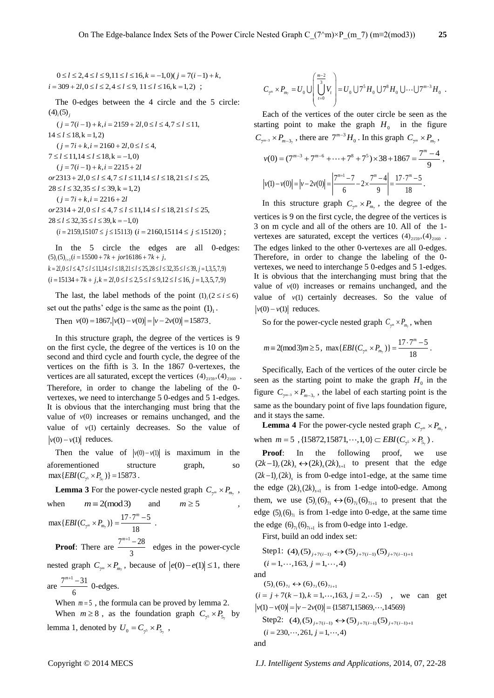$0 \le l \le 2, 4 \le l \le 9, 11 \le l \le 16, k = -1, 0$  $(j = 7(i - 1) + k, i = 309 + 2l, 0 \le l \le 2, 4 \le l \le 9, 11 \le l \le 16, k = 1, 2)$ ;

The 0-edges between the 4 circle and the 5 circle:  $(4)_{i}(5)_{j}$ <br> $(j = 7(i-1) + k, i = 2159 + 2l, 0 \le l \le 4, 7 \le l \le 11,$ 

 $14 \le l \le 18$ , k = 1, 2)  $(j = 7i + k, i = 2160 + 2l, 0 \le l \le 4,$ <br>  $7 \le l \le 11, 14 \le l \le 18, k = -1, 0)$ <br>  $(j = 7(i - 1) + k, i = 2215 + 2l$ <br>  $or 2313 + 2l, 0 \le l \le 4, 7 \le l \le 11, 14 \le l \le 18, 21 \le l \le 25,$ <br>  $28 \le l \le 32, 35 \le l \le 39, k = 1, 2)$  $(j = 7i + k, i = 2216 + 2l$ <br>  $or 2314 + 2l, 0 \le l \le 4, 7 \le l \le 11, 14 \le l \le 18, 21 \le l \le 25,$ <br>  $28 \le l \le 32, 35 \le l \le 39, k = -1,0$  $(i = 2159,15107 \le j \le 15113)$   $(i = 2160,15114 \le j \le 15120)$ ;

In the 5 circle the edges are all 0-edges:  $(5)_{i}(5)_{i+1}(i=15500+7k+jor16186+7k+j,$  $k = 2l, 0 \le l \le 4, 7 \le l \le 11, 14 \le l \le 18, 21 \le l \le 25, 28 \le l \le 32, 35 \le l \le 39, j = 1, 3, 5, 7, 9$ <br>  $(i = 15134 + 7k + j, k = 2l, 0 \le l \le 2, 5 \le l \le 9, 12 \le l \le 16, j = 1, 3, 5, 7, 9)$ 

The last, the label methods of the point  $(1)$ <sub>*i*</sub> $(2 \le i \le 6)$ set out the paths' edge is the same as the point  $(1)<sub>1</sub>$ .

Then  $v(0) = 1867$ ,  $|v(1) - v(0)| = |v - 2v(0)| = 15873$ .

In this structure graph, the degree of the vertices is 9 on the first cycle, the degree of the vertices is 10 on the second and third cycle and fourth cycle, the degree of the vertices on the fifth is 3. In the 1867 0-vertexes, the vertices are all saturated, except the vertices  $(4)_{2159}, (4)_{2160}$ . Therefore, in order to change the labeling of the 0 vertexes, we need to interchange 5 0-edges and 5 1-edges. It is obvious that the interchanging must bring that the value of  $v(0)$  increases or remains unchanged, and the value of  $v(1)$  certainly decreases. So the value of  $|v(0)-v(1)|$  reduces.

Then the value of  $|v(0)-v(1)|$  is maximum in the aforementioned structure graph, so  $\max\{EBI(C_{7^5} \times P_{5_7})\} = 15873$ .

**Lemma 3** For the power-cycle nested graph  $C_{\tau^m} \times P_{m_\tau}$ , when  $m \equiv 2 \pmod{3}$ and  $m \geq 5$  $\max\{EBI(C_{7^m}\times P_{m_7})\}=\frac{17\cdot 7^m-5}{18}$  $EBI(C_{\tau_m} \times P_{m_{\tau}})\} = \frac{17 \cdot 7^m - 5}{19}$ .

**Proof:** There are  $\frac{7^{m+1}-28}{2}$ 3  $\frac{m+1-28}{2}$  edges in the power-cycle

nested graph  $C_{\tau^m} \times P_{m_\tau}$ , because of  $|e(0) - e(1)| \le 1$ , there

are  $\frac{7^{m+1}-31}{1}$ 6  $\frac{m+1}{2}$  -31 0-edges.

When  $m = 5$ , the formula can be proved by lemma 2.

When  $m \ge 8$ , as the foundation graph  $C_{\gamma^5} \times P_{5\gamma}$  by lemma 1, denoted by  $U_0 = C_{7^5} \times P_{5^7}$ ,

$$
C_{\tau^m} \times P_{m_{\tau}} = U_0 \cup \left( \underbrace{\int_{t=0}^{\frac{m-2}{3}} V_t}{\int_{t=0}^{m-2} V_t} \right) = U_0 \cup 7^5 H_0 \cup 7^8 H_0 \cup \dots \cup 7^{m-3} H_0.
$$

Each of the vertices of the outer circle be seen as the starting point to make the graph  $H_0$  in the figure

$$
C_{7^{m-3}} \times P_{m-3}
$$
, there are  $7^{m-3}H_0$ . In this graph  $C_{7^m} \times P_{m_7}$ ,  
\n
$$
v(0) = (7^{m-3} + 7^{m-6} + \dots + 7^8 + 7^5) \times 38 + 1867 = \frac{7^m - 4}{9}
$$
,  
\n
$$
|v(1) - v(0)| = |v - 2v(0)| = \left| \frac{7^{m+1} - 7}{6} - 2 \times \frac{7^m - 4}{9} \right| = \frac{17 \cdot 7^m - 5}{18}.
$$

In this structure graph  $C_{\gamma^m} \times P_{m_\gamma}$ , the degree of the vertices is 9 on the first cycle, the degree of the vertices is 3 on m cycle and all of the others are 10. All of the 1 vertexes are saturated, except the vertices  $(4)_{2159}, (4)_{2160}$ . The edges linked to the other 0-vertexes are all 0-edges. Therefore, in order to change the labeling of the 0 vertexes, we need to interchange 5 0-edges and 5 1-edges. It is obvious that the interchanging must bring that the value of  $v(0)$  increases or remains unchanged, and the value of  $v(1)$  certainly decreases. So the value of  $|v(0)-v(1)|$  reduces.

So for the power-cycle nested graph  $C_{\gamma^m} \times P_{m_\gamma}$ , when

$$
m \equiv 2 \pmod{3} m \ge 5
$$
,  $\max \{EBI(C_{\gamma^m} \times P_{m_7})\} = \frac{17 \cdot 7^m - 5}{18}$ .

Specifically, Each of the vertices of the outer circle be seen as the starting point to make the graph  $H_0$  in the figure  $C_{\gamma^{m-3}} \times P_{m-3}$ , the label of each starting point is the same as the boundary point of five laps foundation figure, and it stays the same.

**Lemma 4** For the power-cycle nested graph  $C_{\tau^m} \times P_{m_\tau}$ , **EXEMPLE 4** For the power-cycle hested graph  $C_{7^m}$   $\sim$ <br>when  $m = 5$ , {15872,15871,…,1,0}  $\subset$  *EBI*( $C_{7^5}$   $\times P_{5_7}$ ).

**Proof:** In the following proof, we use  $(2k-1)$ ,  $(2k)$ ,  $\leftrightarrow (2k)$ ,  $(2k)$ <sub>s+1</sub> to present that the edge  $(2k-1)$ <sub>r</sub> $(2k)$ <sub>s</sub> is from 0-edge into1-edge, at the same time the edge  $(2k)_{s}(2k)_{s+1}$  is from 1-edge into0-edge. Among them, we use  $(5)_{i}(6)_{7i} \leftrightarrow (6)_{7i}(6)_{7i+1}$  to present that the edge  $(5)$ <sub>i</sub> $(6)$ <sub>7i</sub> is from 1-edge into 0-edge, at the same time the edge  $(6)_{7i}(6)_{7i+1}$  is from 0-edge into 1-edge.

First, build an odd index set:

Step1:  $(4)_i(5)_{j+7(i-1)} \leftrightarrow (5)_{j+7(i-1)}(5)_{j+7(i-1)+1}$  $(i = 1, \dots, 163, j = 1, \dots, 4)$ and

 $(5)_{i}$  (6)<sub>7*i*</sub>  $\leftrightarrow$  (6)<sub>7*i*</sub>(6)<sub>7*i*+1</sub>

 $(i = j + 7(k - 1), k = 1, \dots, 163, j = 2, \dots 5)$ , we can get  $|v(1)-v(0)| = |v-2v(0)| = {15871,15869,\dots,14569}$ Step2:  $(4)_i(5)_{j+7(i-1)} \leftrightarrow (5)_{j+7(i-1)}(5)_{j+7(i-1)+1}$ 

$$
(i = 230, \cdots, 261, j = 1, \cdots, 4)
$$

and

Copyright © 2014 MECS *I.J. Intelligent Systems and Applications,* 2014, 07, 22-28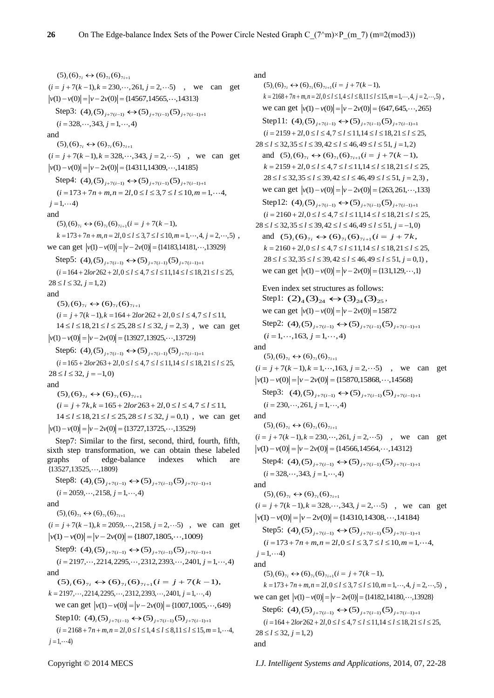$(5)_{i}$  (6)<sub>7*i*</sub>  $\leftrightarrow$  (6)<sub>7*i*</sub>(6)<sub>7*i*+1</sub> ( $J_i$ ( $J_i$ <sub>(</sub> $J_j$ <sub>i</sub>  $\leftrightarrow$  ( $J_j$ <sub>i</sub>( $J_j$ <sub>i+1</sub>)<br>( $i = j + 7(k - 1)$ , $k = 230$ , ..., 261,  $j = 2$ , ..., 5) , we can get  $|v(1)-v(0)| = |v-2v(0)| = {14567,14565,\dots,14313}$ Step3:  $(4)_{i}(5)_{j+7(i-1)} \leftrightarrow (5)_{j+7(i-1)}(5)_{j+7(i-1)+1}$  $(i = 328, \dots, 343, i = 1, \dots, 4)$ and  $(5)_{i}$  (6)<sub>7*i*</sub>  $\leftrightarrow$  (6)<sub>7*i*</sub>(6)<sub>7*i*+1</sub> ( $J_i$ ( $J_i$ ( $J_{i}$ <sub>i</sub>  $\leftrightarrow$  ( $J_{i}$ <sub>i</sub>( $J_{i+1}$ )<br>  $(i = j + 7(k - 1), k = 328, \cdots, 343, j = 2, \cdots 5)$ , we can get  $|v(1)-v(0)| = |v-2v(0)| = {14311,14309,\dots,14185}$ Step4:  $(4)_{i}(5)_{j+7(i-1)} \leftrightarrow (5)_{j+7(i-1)}(5)_{j+7(i-1)+1}$  $(i = 173 + 7n + m, n = 2l, 0 \le l \le 3, 7 \le l \le 10, m = 1, \dots 4,$  $j = 1, \dots 4$ and  $(5)_{i}$  $(6)_{7i}$   $\leftrightarrow$   $(6)_{7i}$  $(6)_{7i+1}$  $(i = j + 7(k-1),$  $k = 173 + 7n + m, n = 2l, 0 \le l \le 3, 7 \le l \le 10, m = 1, \dots, 4, j = 2, \dots, 5)$ , *k* = 1/3 + /*n* + *m*, *n* = 2*l*, 0 ≤ *l* ≤ 3, / ≤ *l* ≤ 10,*m* = 1, · · ·, 4, *j* = 2, · · ·<br>we can get  $|v(1) - v(0)| = |v - 2v(0)| =$ {14183,14181, · · ·,13929} Step5:  $(4)_i(5)_{j+7(i-1)} \leftrightarrow (5)_{j+7(i-1)}(5)_{j+7(i-1)+1}$  $(i = 164 + 2lor262 + 2l, 0 \le l \le 4, 7 \le l \le 11, 14 \le l \le 18, 21 \le l \le 25,$  $28 \le l \le 32, j = 1,2$ and  $(5)_{i}$  (6)<sub>7*i*</sub>  $\leftrightarrow$  (6)<sub>7*i*</sub>(6)<sub>7*i*+1</sub> (5)<sub>*i*</sub>(6)<sub>7*i*</sub> ← (6)<sub>7*i*</sub>(6)<sub>7*i*+1</sub><br>
(*i* = *j* + 7(*k* − 1),*k* = 164 + 2*lor*262 + 2*l*,0 ≤ *l* ≤ 4,7 ≤ *l* ≤ 11,<br>
14 ≤ *l* ≤ 18,21 ≤ *l* ≤ 25,28 ≤ *l* ≤ 32, *j* = 2,3), we can get  $|v(1)-v(0)| = |v-2v(0)| = {13927,13925,\cdots,13729}$ Step6:  $(4)_{i}(5)_{j+7(i-1)} \leftrightarrow (5)_{j+7(i-1)}(5)_{j+7(i-1)+1}$  $(i = 165 + 21 \text{ or } 263 + 21, 0 \le l \le 4, 7 \le l \le 11, 14 \le l \le 18, 21 \le l \le 25,$ <br> $28 \le l \le 32, j = -1, 0$ and  $(5)_{i}$  (6)<sub>7i</sub>  $\leftrightarrow$  (6)<sub>7i</sub>(6)<sub>7i+1</sub>  $(i = j + 7k, k = 165 + 2lor263 + 2l, 0 \le l \le 4, 7 \le l \le 11,$ <br> $14 \le l \le 18, 21 \le l \le 25, 28 \le l \le 32, j = 0, 1)$ , we can get  $|v(1)-v(0)| = |v-2v(0)| = {13727,13725,\cdots,13529}$ Step7: Similar to the first, second, third, fourth, fifth, sixth step transformation, we can obtain these labeled graphs of edge-balance indexes which are  ${13527, 13525, \dots, 1809}$  $Step8: (4)_{i}(5)_{j+7(i-1)} \leftrightarrow (5)_{j+7(i-1)}(5)_{j+7(i-1)+1}$  $(i = 2059, \dots, 2158, j = 1, \dots, 4)$ 

and

 $(5)_{i}$  (6)<sub>7*i*</sub>  $\leftrightarrow$  (6)<sub>7*i*</sub>(6)<sub>7*i*+1</sub> ( $J_i$ ( $0J_{i1}$   $\leftrightarrow$  ( $0J_{i1}$ ( $0J_{i+1}$ )<br>( $i = j + 7(k-1), k = 2059, \cdots, 2158, j = 2, \cdots 5)$ , we can get  $|v(1)-v(0)| = |v-2v(0)| = {1807,1805,\cdots,1009}$ 

 $Step9: (4)_{i}(5)_{j+7(i-1)} \leftrightarrow (5)_{j+7(i-1)}(5)_{j+7(i-1)+1}$ Step9:  $(4)_i (5)_{j+7(i-1)} \leftrightarrow (5)_{j+7(i-1)} (5)_{j+7(i-1)+1}$ <br>  $(i = 2197, \cdots, 2214, 2295, \cdots, 2312, 2393, \cdots, 2401, j = 1, \cdots, 4)$ and  $(5)_i (6)_{7i} \leftrightarrow (6)_{7i} (6)_{7i+1} (i = j + 7(k-1)),$ 

 $k = 2197, \dots, 2214, 2295, \dots, 2312, 2393, \dots, 2401, j = 1, \dots, 4$  $=$  2197,..., 2214, 2295,..., 2312, 2393,..., 2401, *j* = 1,..., 4)<br>we can get  $|v(1) - v(0)| = |v - 2v(0)| = \{1007, 1005, \dots, 649\}$ Step10:  $(4)_i(5)_{j+7(i-1)} \leftrightarrow (5)_{j+7(i-1)}(5)_{j+7(i-1)+1}$ Step10:  $(4)_i(5)_{j+7(i-1)} \leftrightarrow (5)_{j+7(i-1)}(5)_{j+7(i-1)+1}$ <br>  $(i = 2168 + 7n + m, n = 2l, 0 \le l \le 1, 4 \le l \le 8, 11 \le l \le 15, m = 1, \cdots 4,$  $j = 1, \cdots 4$ 

# and

 $(5)_{i}$  (6)<sub>7i</sub>  $\leftrightarrow$  (6)<sub>7i</sub>(6)<sub>7i+1</sub>( $i = j + 7(k - 1)$ ,  $k = 2168 + 7n + m, n = 2l, 0 \le l \le 1, 4 \le l \le 8, 11 \le l \le 15, m = 1, \dots, 4, j = 2, \dots, 5)$ , *x* = 2106+ *n*+*m*,*n*= 2*i*, 0 ≤ *t* ≤ *t* ≤ *t* ≤ 6, 11 ≤ *t* ≤ 13, *m* = 1, ..., *a*, *y* = 2, ...<br>we can get  $|v(1) - v(0)| = |v - 2v(0)| =$  {647, 645, ..., 265} Step11:  $(4)_i(5)_{j+7(i-1)} \leftrightarrow (5)_{j+7(i-1)}(5)_{j+7(i-1)+1}$  $(i = 2159 + 2l, 0 \le l \le 4, 7 \le l \le 11, 14 \le l \le 18, 21 \le l \le 25,$ <br> $28 \le l \le 32, 35 \le l \le 39, 42 \le l \le 46, 49 \le l \le 51, i = 1, 2$  $3 \le i \le 32, 35 \le i \le 39, 42 \le i \le 46, 49 \le i \le 51, j = 1, 2$ <br>and  $(5)_i (6)_{7i} \leftrightarrow (6)_{7i} (6)_{7i+1} (i = j + 7(k-1)),$  $k = 2159 + 2l, 0 \le l \le 4, 7 \le l \le 11, 14 \le l \le 18, 21 \le l \le 25,$ <br>  $28 \le l \le 32, 35 \le l \le 39, 42 \le l \le 46, 49 \le l \le 51, j = 2, 3)$ ,  $26 \le t \le 52, 35 \le t \le 59, 42 \le t \le 46, 49 \le t \le 51, j = 2, 5$ ,<br>we can get  $|v(1) - v(0)| = |v - 2v(0)| = {263,261, \dots, 133}$ Step12:  $(4)_i(5)_{j+7(i-1)} \leftrightarrow (5)_{j+7(i-1)}(5)_{j+7(i-1)+1}$  $(i = 2160 + 2l, 0 \le l \le 4, 7 \le l \le 11, 14 \le l \le 18, 21 \le l \le 25,$ <br> $28 \le l \le 32, 35 \le l \le 39, 42 \le l \le 46, 49 \le l \le 51, j = -1, 0$  $3 \le i \le 32, 35 \le i \le 39, 42 \le i \le 46, 49 \le i \le 51, j = -1, 6$ <br>and  $(5)_i (6)_{7i} \leftrightarrow (6)_{7i} (6)_{7i+1} (i = j + 7k,$  $k = 2160 + 2l, 0 \le l \le 4, 7 \le l \le 11, 14 \le l \le 18, 21 \le l \le 25,$ <br>  $28 \le l \le 32, 35 \le l \le 39, 42 \le l \le 46, 49 \le l \le 51, j = 0, 1)$ ,  $26 \le t \le 32,33 \le t \le 37,42 \le t \le 46,47 \le t \le 31,7-0,1$ <br>we can get  $|v(1)-v(0)| = |v-2v(0)| = \{131,129,\dots,1\}$ Even index set structures as follows: Step1:  $(2)_4(3)_{24} \leftrightarrow (3)_{24}(3)_{25}$ , we can get  $|v(1) - v(0)| = |v - 2v(0)| = 15872$ 

we can get  $|v(1) - v(0)| = |v - 2v(0)| - 13872$ <br>Step2:  $(4)_i (5)_{j+7(i-1)} \leftrightarrow (5)_{j+7(i-1)} (5)_{j+7(i-1)+1}$  $(i = 1, \dots, 163, j = 1, \dots, 4)$ 

and  $(5)_{i} (6)_{7i} \leftrightarrow (6)_{7i} (6)_{7i+1}$ ( $J_i$ ( $J_i$ ( $J_{i}$ )<sub>7i</sub>  $\leftrightarrow$  (0)<sub>7i</sub>( $J_{i+1}$ )<sub>1+1</sub><br>( $i = j + 7(k - 1), k = 1, \cdots, 163, j = 2, \cdots 5)$ , we can get  $|v(1)-v(0)| = |v-2v(0)| = {15870,15868,\dots,14568}$  $\text{Step3: } (4)_{i}(5)_{j+7(i-1)} \leftrightarrow (5)_{j+7(i-1)}(5)_{j+7(i-1)+1}$ 

 $(i = 230, \dots, 261, i = 1, \dots, 4)$ 

and  $(5)_{i}$  (6)<sub>7*i*</sub>  $\leftrightarrow$  (6)<sub>7*i*</sub>(6)<sub>7*i*+1</sub> ( $J_i$ ( $J_i$ <sub>(</sub> $J_j$ <sub>i</sub>  $\leftrightarrow$  ( $J_j$ <sub>i</sub>( $J_j$ <sub>i+1</sub>)<br>( $i = j + 7(k - 1)$ , $k = 230$ , ..., 261,  $j = 2$ , ..., 5) , we can get  $|v(1)-v(0)| = |v-2v(0)| = {14566,14564,\cdots,14312}$  $\text{Step4: } (4)_{i}(5)_{j+7(i-1)} \leftrightarrow (5)_{j+7(i-1)}(5)_{j+7(i-1)+1}$  $(i = 328, \dots, 343, j = 1, \dots, 4)$ and

 $(5)_{i} (6)_{7i} \leftrightarrow (6)_{7i} (6)_{7i+1}$ ( $3j_i$ (6)<sub>7i</sub>  $\leftrightarrow$  (6)<sub>7i</sub>(6)<sub>7i+1</sub><br>
( $i = j + 7(k - 1)$ , $k = 328, \cdots, 343, j = 2, \cdots 5)$ , we can get<br>  $|v(1) - v(0)| = |v - 2v(0)| = \{14310, 14308, \cdots, 14184\}$  $\text{Step5: } (4)_{i}(5)_{j+7(i-1)} \leftrightarrow (5)_{j+7(i-1)}(5)_{j+7(i-1)+1}$ Step5:  $(4)_i(5)_{j+7(i-1)} \leftrightarrow (5)_{j+7(i-1)}(5)_{j+7(i-1)+1}$ <br>  $(i = 173 + 7n + m, n = 2l, 0 \le l \le 3, 7 \le l \le 10, m = 1, \cdots 4,$  $j = 1, \dots 4$ and  $(5)_{i}$  (6)<sub>7i</sub>  $\leftrightarrow$  (6)<sub>7i</sub>(6)<sub>7i+1</sub>( $i = j + 7(k-1)$ ,  $k = 173 + 7n + m, n = 2l, 0 \le l \le 3, 7 \le l \le 10, m = 1, \dots, 4, j = 2, \dots, 5)$ , *k* =  $1/3 + 7n + m, n = 2l, 0 \le l \le 3, l \le l \le 10, m = 1, \dots, 4, j = 2, \dots$ <br>we can get  $|v(1) - v(0)| = |v - 2v(0)| = \{14182, 14180, \dots, 13928\}$  $\text{Step6: } (4)_{i}(5)_{j+7(i-1)} \leftrightarrow (5)_{j+7(i-1)}(5)_{j+7(i-1)+1}$ Step6:  $(4)_i (5)_{j+7(i-1)} \leftrightarrow (5)_{j+7(i-1)} (5)_{j+7(i-1)+1}$ <br>  $(i = 164 + 210r262 + 21, 0 \le i \le 4, 7 \le i \le 11, 14 \le i \le 18, 21 \le i \le 25,$  $28 \le l \le 32, i=1,2$ and

Copyright © 2014 MECS *I.J. Intelligent Systems and Applications,* 2014, 07, 22-28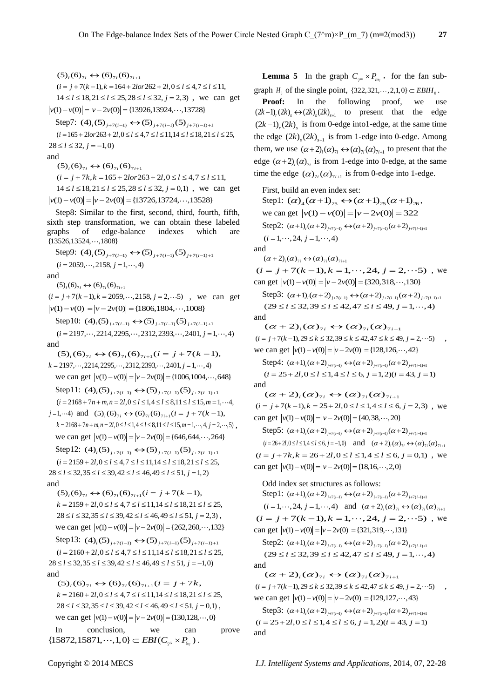$$
(5)_i (6)_{7i} \leftrightarrow (6)_{7i} (6)_{7i+1}
$$
  
(*i* = *j* + 7(*k* - 1), *k* = 164 + 2*lor*262 + 2*l*, 0 \le *l* \le 4, 7 \le *l* \le 11,  
14 \le *l* \le 18, 21 \le *l* \le 25, 28 \le *l* \le 32, *j* = 2, 3), we can get  
|*v*(1) - *v*(0)| = |*v* - 2*v*(0)| = {13926, 13924, ..., 13728}

 $S_1 = V(0) - |V - 2V(0)| - \{13920, 13924, \cdots, 13726\}$ <br>Step7:  $(4)_i (5)_{j+7(i-1)} \leftrightarrow (5)_{j+7(i-1)} (5)_{j+7(i-1)+1}$ Step7:  $(4)_i(5)_{j+7(i-1)} \leftrightarrow (5)_{j+7(i-1)}(5)_{j+7(i-1)+1}$ <br>  $(i=165+2lor263+2l,0\le l\le 4,7\le l\le 11,14\le l\le 18,21\le l\le 25,$ <br>  $28\le l\le 32, j=-1,0$ 

#### and

 $(5)_{i}$  (6)<sub>7i</sub>  $\leftrightarrow$  (6)<sub>7i</sub>(6)<sub>7i+1</sub>  $(i = j + 7k, k = 165 + 2lor263 + 2l, 0 \le l \le 4, 7 \le l \le 11,$  $14 \le l \le 18, 21 \le l \le 25, 28 \le l \le 32, i = 0, 1$ , we can get  $|v(1)-v(0)| = |v-2v(0)| = {13726,13724, \cdots, 13528}$ 

Step8: Similar to the first, second, third, fourth, fifth, sixth step transformation, we can obtain these labeled graphs of edge-balance indexes which are  ${13526, 13524, \dots, 1808}$ 

Step9: 7( 1) 7( 1) 7( 1) 1 (4) (5) (5) (5) *i j i j i j i*  $(i = 2059, \cdots, 2158, j = 1, \cdots, 4)$ and

 $(5)_{i} (6)_{7i} \leftrightarrow (6)_{7i} (6)_{7i+1}$ ( $J_i$ ( $0J_{i1}$   $\leftrightarrow$  ( $0J_{i1}$ ( $0J_{i+1}$ )<br>( $i = j + 7(k-1), k = 2059, \cdots, 2158, j = 2, \cdots 5)$ , we can get  $i = j + 7(k - 1), k = 2059, \dots, 2158, j = 2, \dots 5)$ , we<br>  $v(1) - v(0) = |v - 2v(0)| = \{1806, 1804, \dots, 1008\}$ 

$$
|v(1)-v(0)|-|v-2v(0)|-|1600,1804,\cdots,1006f
$$
  
\nStep10:  $(4)_i(5)_{j+7(i-1)} \leftrightarrow (5)_{j+7(i-1)}(5)_{j+7(i-1)+1}$   
\n $(i = 2197,\cdots,2214,2295,\cdots,2312,2393,\cdots,2401, j = 1,\cdots,4)$   
\nand  
\n $(5)_i(6)_{7i} \leftrightarrow (6)_{7i}(6)_{7i+1}(i = j + 7(k - 1),$   
\n $k = 2197,\cdots,2214,2295,\cdots,2312,2393,\cdots,2401, j = 1,\cdots,4)$   
\nwe can get  $|v(1)-v(0)| = |v-2v(0)| = \{1006,1004,\cdots,648\}$   
\nStep11:  $(4)_i(5)_{j+7(i-1)} \leftrightarrow (5)_{j+7(i-1)}(5)_{j+7(i-1)+1}$   
\n $(i = 2168+7n+m,n = 2l,0 \le l \le 1,4 \le l \le 8,11 \le l \le 15,m = 1,\cdots,4$   
\n $j = 1,\cdots,4$  and  $(5)_i(6)_{7i} \leftrightarrow (6)_{7i}(6)_{7i+1}(i = j + 7(k - 1),$   
\n $k = 2168+7n+m,n = 2l,0 \le l \le 1,4 \le l \le 8,11 \le l \le 15,m = 1,\cdots,4, j = 2,\cdots,5$ ,  
\nwe can get  $|v(1)-v(0)| = |v-2v(0)| = \{646,644,\cdots,264\}$   
\nStep12:  $(4)_i(5)_{j+7(i-1)} \leftrightarrow (5)_{j+7(i-1)}(5)_{j+7(i-1)+1}$   
\n $(i = 2159+2l,0 \le l \le 4,7 \le l \le 11,14 \le l \le 18,21 \le l \le 25,$   
\n $28 \le l \le 32,35 \le l \le 39,42 \le l \le 46$ 

and

{5}<sub>*i*</sub>(6)<sub>7*i*</sub> ←  $\leftrightarrow$  (6)<sub>7*i*</sub>(6)<sub>7*i*+1</sub>(*i* = *j* + 7(*k* − 1),<br> *k* = 2159 + 2*l*,0 ≤ *l* ≤ 4,7 ≤ *l* ≤ 11,14 ≤ *l* ≤ 18,21 ≤ *l* ≤ 25,<br>
28 ≤ *l* ≤ 32,35 ≤ *l* ≤ 39,42 ≤ *l* ≤ 46,49 ≤ *l* ≤ 51, *j* = 2,3),  $28 \le l \le 32, 35 \le l \le 39, 42 \le l \le 46, 49 \le l \le 51, j = 2, 3$ ,<br>we can get  $|v(1) - v(0)| = |v - 2v(0)| = {262, 260, \dots, 132}$ we can get  $|v(1) - v(0)| = |v - 2v(0)| - \{202, 200, \dots, 152\}$ <br>Step13:  $(4)_i (5)_{j+7(i-1)} \leftrightarrow (5)_{j+7(i-1)} (5)_{j+7(i-1)+1}$  $(i = 2160 + 2l, 0 \le l \le 4, 7 \le l \le 11, 14 \le l \le 18, 21 \le l \le 25,$ <br> $28 \le l \le 32, 35 \le l \le 39, 42 \le l \le 46, 49 \le l \le 51, j = -1, 0)$ and  $(5)_{i}$  (6)<sub>7i</sub>  $\leftrightarrow$  (6)<sub>7i</sub>(6)<sub>7i+1</sub>(i = j + 7k,  $k = 2160 + 2l, 0 \le l \le 4, 7 \le l \le 11, 14 \le l \le 18, 21 \le l \le 25,$ <br>  $28 \le l \le 32, 35 \le l \le 39, 42 \le l \le 46, 49 \le l \le 51, j = 0, 1)$ ,

 $26 \le t \le 32, 35 \le t \le 39, 42 \le t \le 40, 49 \le t \le 31, j = 0, 1,$ <br>we can get  $|v(1) - v(0)| = |v - 2v(0)| = \{130, 128, \dots, 0\}$ 

In conclusion, we can prove In conclusion, we can<br>{15872,15871,...,1,0}  $\subset EBI(C_{\gamma^5} \times P_{5_{\gamma}})$ .

**Lemma 5** In the graph  $C_{\tau^m} \times P_{m_{\tau}}$ , for the fan subgraph  $H_0$  of the single point,  $\{322, 321, \dots, 2, 1, 0\} \subset EBH_0$ .

**Proof:** In the following proof, we use  $(2k-1)$ ,  $(2k)$ ,  $\leftrightarrow$   $(2k)$ ,  $(2k)$ <sub>s+1</sub> to present that the edge  $(2k-1)$ ,  $(2k)$ , is from 0-edge into1-edge, at the same time the edge  $(2k)_{s}(2k)_{s+1}$  is from 1-edge into 0-edge. Among them, we use  $(\alpha+2)_i(\alpha)_{\gamma_i} \leftrightarrow (\alpha)_{\gamma_i}(\alpha)_{\gamma_{i+1}}$  to present that the edge  $(\alpha + 2)$ <sub>i</sub> $(\alpha)$ <sub>7i</sub> is from 1-edge into 0-edge, at the same time the edge  $(\alpha)_{7i}(\alpha)_{7i+1}$  is from 0-edge into 1-edge.

First, build an even index set: First, build an even index set:<br>Step1:  $(\alpha)_4(\alpha+1)_{25} \leftrightarrow (\alpha+1)_{25}(\alpha+1)_{26}$ , we can get  $|v(1) - v(0)| = |v - 2v(0)| = 322$ we can get  $|V(1) - V(0)| = |V - ZV(0)| = 322$ <br>Step2:  $(\alpha + 1)_i(\alpha + 2)_{j+7(i-1)} \leftrightarrow (\alpha + 2)_{j+7(i-1)}(\alpha + 2)_{j+7(i-1)+1}$  $(i = 1, \dots, 24, j = 1, \dots, 4)$ and  $(\alpha+2)_i(\alpha)_{\gamma_i} \leftrightarrow (\alpha)_{\gamma_i}(\alpha)_{\gamma_{i+1}}$  $(\alpha + 2)_i(\alpha)_{\gamma_i} \leftrightarrow (\alpha)_{\gamma_i}(\alpha)_{\gamma_{i+1}}$ <br>  $(i = j + 7(k - 1), k = 1, \cdots, 24, j = 2, \cdots 5)$ , we  $(i = j + 7(k - 1), k = 1, \dots, 24, j = 2, \dots$ <br>
can get  $|v(1) - v(0)| = |v - 2v(0)| = {320,318, \dots, 130}$ Step3:  $(\alpha+1)_{i}(\alpha+2)_{i+7(i-1)} \leftrightarrow (\alpha+2)_{i+7(i-1)}(\alpha+2)_{i+7(i-1)+1}$  $(29 \le i \le 32, 39 \le i \le 42, 47 \le i \le 49, j = 1, \dots, 4)$ and  $(\alpha+2)_{i}(\alpha)_{7i} \leftrightarrow (\alpha)_{7i}(\alpha)_{7i+1}$  $(i = j + 7(k-1), 29 \le k \le 32, 39 \le k \le 42, 47 \le k \le 49, j = 2, \dots 5)$  $v(t = f + r(k-1), 29 \le k \le 32, 39 \le k \le 42, 47 \le k \le 49, f = 2$ <br>we can get  $|v(1) - v(0)| = |v - 2v(0)| = \{128, 126, \dots, 42\}$ Step4:  $\text{Step 4: } (\alpha+1)_i(\alpha+2)_{j+7(i-1)} \leftrightarrow (\alpha+2)_{j+7(i-1)}(\alpha+2)_{j+7(i-1)+1}$ <br>  $(i = 25+2l, 0 \le l \le 1, 4 \le l \le 6, j = 1,2) (i = 43, j = 1)$ and  $(\alpha+2)_{i}(\alpha)_{7i} \leftrightarrow (\alpha)_{7i}(\alpha)_{7i+1}$  $(\alpha + 2)_i(\alpha)_{7i} \leftrightarrow (\alpha)_{7i}(\alpha)_{7i+1}$ <br>(*i* = *j*+7(*k*-1),*k* = 25+2*l*,0 ≤ *l* ≤ 1,4 ≤ *l* ≤ 6, *j* = 2,3), we  $\begin{aligned} (t - f + r(\kappa - 1), \kappa - 25 + 2t, 0 \le t \le 1, 4 \le t \le 0, \\ \text{can get } |v(1) - v(0)| = |v - 2v(0)| = \{40, 38, \dots, 20\} \end{aligned}$ Step5:  $(\alpha+1)_{i}(\alpha+2)_{i+7(i-1)} \leftrightarrow (\alpha+2)_{i+7(i-1)}(\alpha+2)_{i+7(i-1)+1}$  $\text{Step 5: } (\alpha+1)_i(\alpha+2)_{j+7(i-1)} \leftrightarrow (\alpha+2)_{j+7(i-1)}(\alpha+2)_{j+7(i-1)+1}$ <br>  $(i=26+2l, 0 \le l \le 1, 4 \le l \le 6, j=-1,0) \text{ and } (\alpha+2)_{i}(\alpha)_{7i} \leftrightarrow (\alpha)_{7i}(\alpha)_{7i+1}$  $(i=26+2l, 0 \le l \le 1, 4 \le l \le 6, j=-1, 0)$  and  $(\alpha+2)_i(\alpha)_{7i} \leftrightarrow (\alpha)_{7i}(\alpha)_{7i+1}$ <br>  $(i=j+7k, k=26+2l, 0 \le l \le 1, 4 \le l \le 6, j=0, 1)$ , we  $\begin{aligned} (t - f + i\kappa, \kappa - 2\sigma + 2t, 0 \le t \le 1, 4 \le t \le 0, \\ \text{can get } |v(1) - v(0)| = |v - 2v(0)| = \{18, 16, \dots, 2, 0\} \end{aligned}$ Odd index set structures as follows: Odd index set structures as follows:<br>Step1:  $(\alpha+1)_i(\alpha+2)_{j+\gamma(i-1)} \leftrightarrow (\alpha+2)_{j+\gamma(i-1)}(\alpha+2)_{j+\gamma(i-1)+1}$  $(i = 1, ..., 24, j = 1, ..., 4)$  and  $(\alpha + 2)_i(\alpha)_{\tau_i} \leftrightarrow (\alpha)_{\tau_i}(\alpha)_{\tau_{i+1}}$ <br>  $(i = j + 7(k - 1), k = 1, ..., 24, j = 2, ..., 5)$ , we  $(i = j + 7(k-1), k = 1, \dots, 24, j = 2, \dots 5)$ , we  $\overline{(t = f + r(\kappa - 1), \kappa = 1, \cdots, 24, f = 2, \dots, 24, f = 2, \dots, 24, f = 2, \dots, 24, f = 2, \dots, 24, f = 2, \dots, 24, f = 2, \dots, 24, f = 2, \dots, 24, f = 2, \dots, 24, f = 2, \dots, 24, f = 2, \dots, 24, f = 2, \dots, 24, f = 2, \dots, 24, f = 2, \dots, 24, f = 2, \dots, 24, f = 2, \dots, 24, f = 2, \dots,$ Step2:  $(\alpha+1)_{i}(\alpha+2)_{i+7(i-1)} \leftrightarrow (\alpha+2)_{i+7(i-1)}(\alpha+2)_{i+7(i-1)+1}$  $(29 \le i \le 32, 39 \le i \le 42, 47 \le i \le 49, j = 1, \dots, 4)$ and  $(\alpha+2)_{i} (\alpha)_{7i} \leftrightarrow (\alpha)_{7i} (\alpha)_{7i+1}$  $(i = j + 7(k - 1), 29 \le k \le 32, 39 \le k \le 42, 47 \le k \le 49, j = 2, \dots 5)$  $v = y + r(x-1), 29 \le x \le 32, 39 \le x \le 42, 47 \le x \le 49, j = 2$ <br>we can get  $|v(1) - v(0)| = |v - 2v(0)| = \{129, 127, \dots, 43\}$ Step3: we can get  $|v(1) - v(0)| = |v - 2v(0)| = \{129, 121, \dots, 43\}$ <br>
Step3:  $(\alpha + 1)_i (\alpha + 2)_{j+7(i-1)} \leftrightarrow (\alpha + 2)_{j+7(i-1)} (\alpha + 2)_{j+7(i-1)+1}$ <br>  $(i = 25 + 2l, 0 \le l \le 1, 4 \le l \le 6, j = 1, 2)(i = 43, j = 1)$ 

and